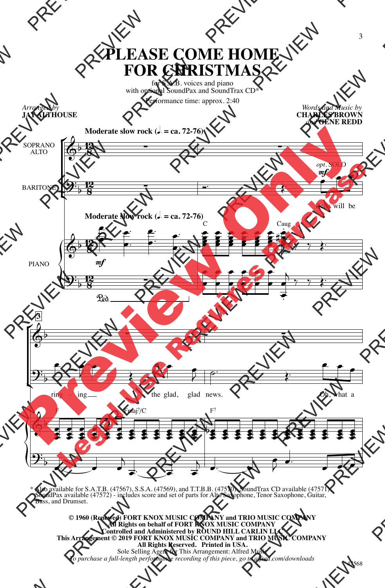## **PLEASE COME HOME FOR CHRISTMAS**

for S.A.B. voices and piano with optional SoundPax and SoundTrax CD\* Performance time: approx. 2:40

*Arranged by* **JAY ALTHOUSE**



\* Also available for S.A.T.B. (47567), S.S.A. (47569), and T.T.B.B. (47570). SoundTrax CD available (47571). SoundPax available (47572) - includes score and set of parts for Alto Saxophone, Tenor Saxophone, Guitar, Bass, and Drumset.

**© 1960 (Renewed) FORT KNOX MUSIC COMPANY and TRIO MUSIC COMPANY All Rights on behalf of FORT KNOX MUSIC COMPANY Controlled and Administered by ROUND HILL CARLIN LLC This Arrangement © 2019 FORT KNOX MUSIC COMPANY and TRIO MUSIC COMPANY All Rights Reserved. Printed in USA.** Sole Selling Agent for This Arrangement: Alfred Music *To purchase a full-length performance recording of this piece, go to alfred.com/downloads*

*Words and Music by* **CHARLES BROWN**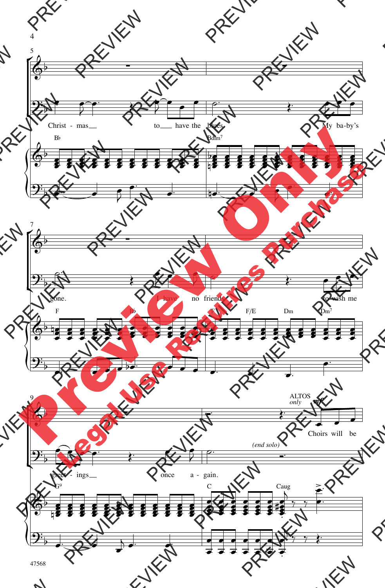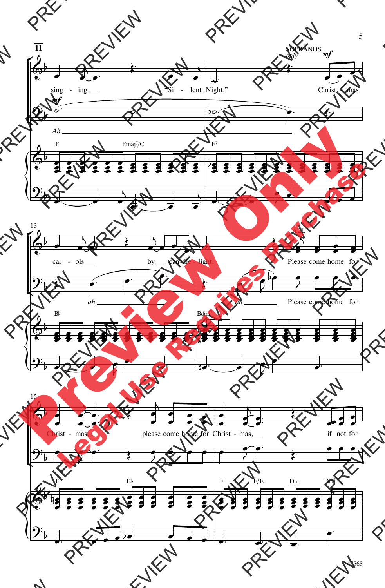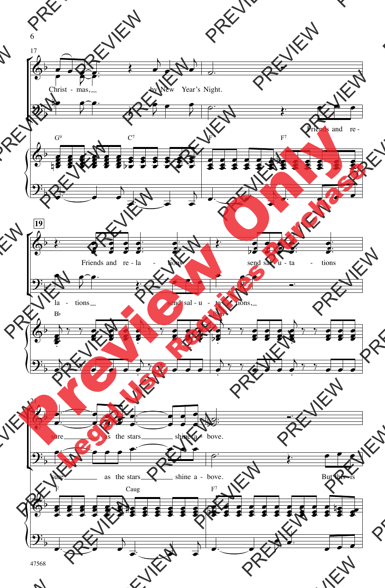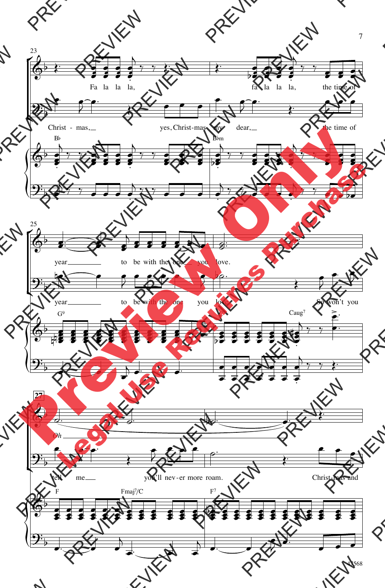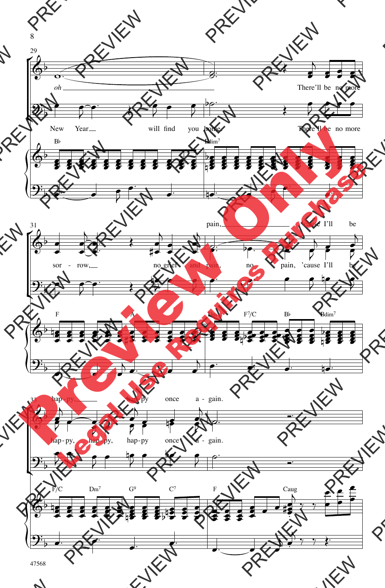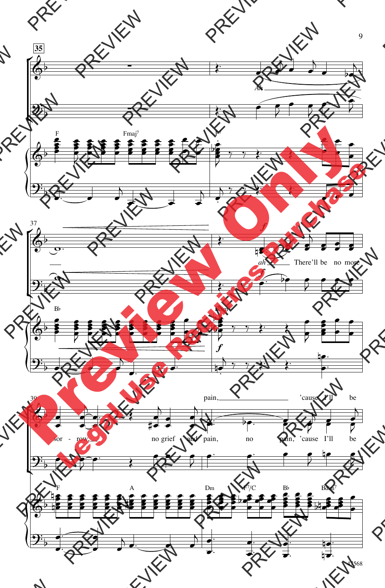

47568